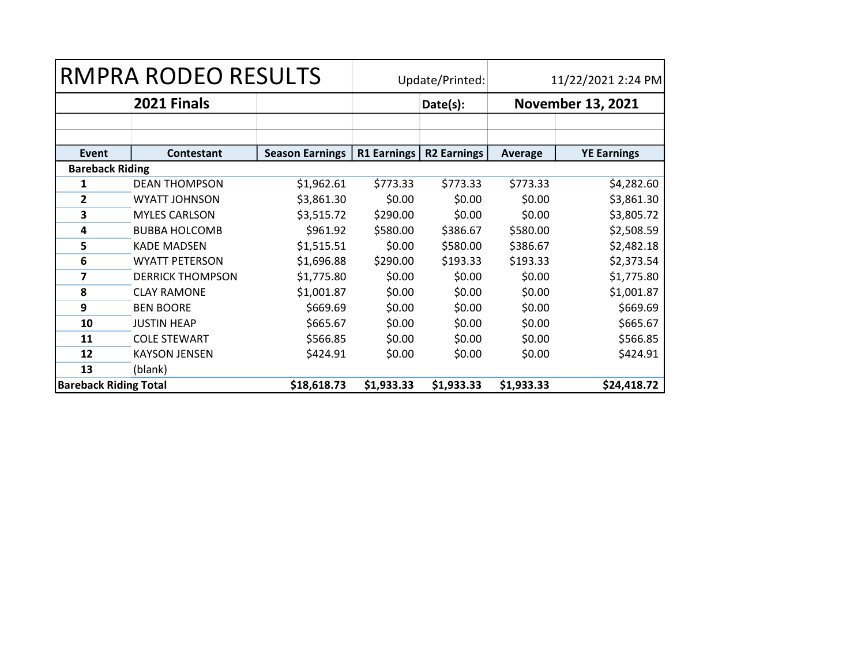| <b>RMPRA RODEO RESULTS</b>   |                         | Update/Printed:        |                    | 11/22/2021 2:24 PM |            |                          |  |  |
|------------------------------|-------------------------|------------------------|--------------------|--------------------|------------|--------------------------|--|--|
|                              | 2021 Finals             |                        |                    | Date(s):           |            | <b>November 13, 2021</b> |  |  |
|                              |                         |                        |                    |                    |            |                          |  |  |
|                              |                         |                        |                    |                    |            |                          |  |  |
| Event                        | Contestant              | <b>Season Earnings</b> | <b>R1 Earnings</b> | <b>R2 Earnings</b> | Average    | <b>YE Earnings</b>       |  |  |
|                              | <b>Bareback Riding</b>  |                        |                    |                    |            |                          |  |  |
| 1                            | <b>DEAN THOMPSON</b>    | \$1,962.61             | \$773.33           | \$773.33           | \$773.33   | \$4,282.60               |  |  |
| $\mathbf{2}$                 | <b>WYATT JOHNSON</b>    | \$3,861.30             | \$0.00             | \$0.00             | \$0.00     | \$3,861.30               |  |  |
| 3                            | <b>MYLES CARLSON</b>    | \$3,515.72             | \$290.00           | \$0.00             | \$0.00     | \$3,805.72               |  |  |
| 4                            | <b>BUBBA HOLCOMB</b>    | \$961.92               | \$580.00           | \$386.67           | \$580.00   | \$2,508.59               |  |  |
| 5                            | <b>KADE MADSEN</b>      | \$1,515.51             | \$0.00             | \$580.00           | \$386.67   | \$2,482.18               |  |  |
| 6                            | <b>WYATT PETERSON</b>   | \$1,696.88             | \$290.00           | \$193.33           | \$193.33   | \$2,373.54               |  |  |
| 7                            | <b>DERRICK THOMPSON</b> | \$1,775.80             | \$0.00             | \$0.00             | \$0.00     | \$1,775.80               |  |  |
| 8                            | <b>CLAY RAMONE</b>      | \$1,001.87             | \$0.00             | \$0.00             | \$0.00     | \$1,001.87               |  |  |
| 9                            | <b>BEN BOORE</b>        | \$669.69               | \$0.00             | \$0.00             | \$0.00     | \$669.69                 |  |  |
| 10                           | <b>JUSTIN HEAP</b>      | \$665.67               | \$0.00             | \$0.00             | \$0.00     | \$665.67                 |  |  |
| 11                           | <b>COLE STEWART</b>     | \$566.85               | \$0.00             | \$0.00             | \$0.00     | \$566.85                 |  |  |
| 12                           | <b>KAYSON JENSEN</b>    | \$424.91               | \$0.00             | \$0.00             | \$0.00     | \$424.91                 |  |  |
| 13                           | (blank)                 |                        |                    |                    |            |                          |  |  |
| <b>Bareback Riding Total</b> |                         | \$18,618.73            | \$1,933.33         | \$1,933.33         | \$1,933.33 | \$24,418.72              |  |  |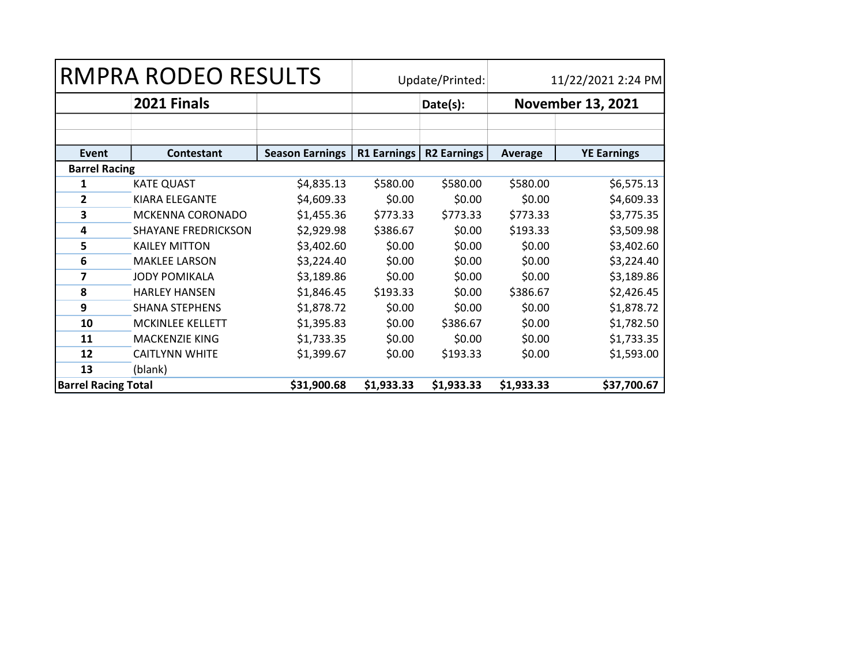| <b>RMPRA RODEO RESULTS</b> |                            | Update/Printed:        |                    | 11/22/2021 2:24 PM |            |                          |  |
|----------------------------|----------------------------|------------------------|--------------------|--------------------|------------|--------------------------|--|
| 2021 Finals                |                            |                        |                    | Date(s):           |            | <b>November 13, 2021</b> |  |
|                            |                            |                        |                    |                    |            |                          |  |
| <b>Event</b>               | <b>Contestant</b>          | <b>Season Earnings</b> | <b>R1 Earnings</b> | <b>R2 Earnings</b> | Average    | <b>YE Earnings</b>       |  |
| <b>Barrel Racing</b>       |                            |                        |                    |                    |            |                          |  |
| 1                          | <b>KATE QUAST</b>          | \$4,835.13             | \$580.00           | \$580.00           | \$580.00   | \$6,575.13               |  |
| $\mathbf{2}$               | KIARA ELEGANTE             | \$4,609.33             | \$0.00             | \$0.00             | \$0.00     | \$4,609.33               |  |
| 3                          | MCKENNA CORONADO           | \$1,455.36             | \$773.33           | \$773.33           | \$773.33   | \$3,775.35               |  |
| 4                          | <b>SHAYANE FREDRICKSON</b> | \$2,929.98             | \$386.67           | \$0.00             | \$193.33   | \$3,509.98               |  |
| 5                          | <b>KAILEY MITTON</b>       | \$3,402.60             | \$0.00             | \$0.00             | \$0.00     | \$3,402.60               |  |
| 6                          | <b>MAKLEE LARSON</b>       | \$3,224.40             | \$0.00             | \$0.00             | \$0.00     | \$3,224.40               |  |
| 7                          | <b>JODY POMIKALA</b>       | \$3,189.86             | \$0.00             | \$0.00             | \$0.00     | \$3,189.86               |  |
| 8                          | <b>HARLEY HANSEN</b>       | \$1,846.45             | \$193.33           | \$0.00             | \$386.67   | \$2,426.45               |  |
| 9                          | <b>SHANA STEPHENS</b>      | \$1,878.72             | \$0.00             | \$0.00             | \$0.00     | \$1,878.72               |  |
| 10                         | <b>MCKINLEE KELLETT</b>    | \$1,395.83             | \$0.00             | \$386.67           | \$0.00     | \$1,782.50               |  |
| 11                         | <b>MACKENZIE KING</b>      | \$1,733.35             | \$0.00             | \$0.00             | \$0.00     | \$1,733.35               |  |
| 12                         | <b>CAITLYNN WHITE</b>      | \$1,399.67             | \$0.00             | \$193.33           | \$0.00     | \$1,593.00               |  |
| 13                         | (blank)                    |                        |                    |                    |            |                          |  |
| <b>Barrel Racing Total</b> |                            | \$31,900.68            | \$1,933.33         | \$1,933.33         | \$1,933.33 | \$37,700.67              |  |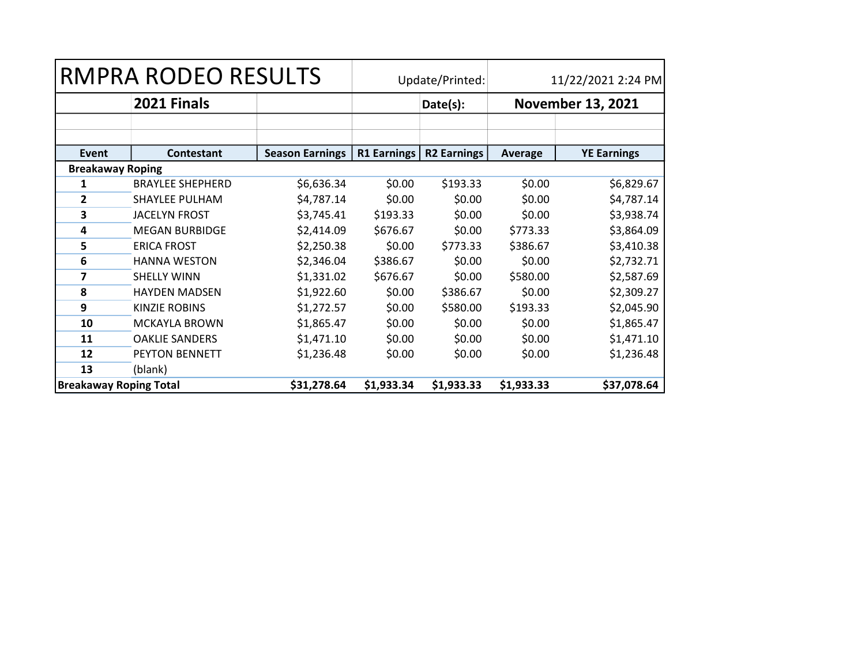| <b>RMPRA RODEO RESULTS</b>    |                         | Update/Printed:        |                    | 11/22/2021 2:24 PM |            |                          |
|-------------------------------|-------------------------|------------------------|--------------------|--------------------|------------|--------------------------|
|                               | 2021 Finals             |                        |                    | Date(s):           |            | <b>November 13, 2021</b> |
|                               |                         |                        |                    |                    |            |                          |
|                               |                         |                        |                    |                    |            |                          |
| Event                         | Contestant              | <b>Season Earnings</b> | <b>R1 Earnings</b> | <b>R2 Earnings</b> | Average    | <b>YE Earnings</b>       |
| <b>Breakaway Roping</b>       |                         |                        |                    |                    |            |                          |
| 1                             | <b>BRAYLEE SHEPHERD</b> | \$6,636.34             | \$0.00             | \$193.33           | \$0.00     | \$6,829.67               |
| $\mathbf{2}$                  | SHAYLEE PULHAM          | \$4,787.14             | \$0.00             | \$0.00             | \$0.00     | \$4,787.14               |
| 3                             | <b>JACELYN FROST</b>    | \$3,745.41             | \$193.33           | \$0.00             | \$0.00     | \$3,938.74               |
| 4                             | <b>MEGAN BURBIDGE</b>   | \$2,414.09             | \$676.67           | \$0.00             | \$773.33   | \$3,864.09               |
| 5                             | <b>ERICA FROST</b>      | \$2,250.38             | \$0.00             | \$773.33           | \$386.67   | \$3,410.38               |
| 6                             | <b>HANNA WESTON</b>     | \$2,346.04             | \$386.67           | \$0.00             | \$0.00     | \$2,732.71               |
| 7                             | <b>SHELLY WINN</b>      | \$1,331.02             | \$676.67           | \$0.00             | \$580.00   | \$2,587.69               |
| 8                             | <b>HAYDEN MADSEN</b>    | \$1,922.60             | \$0.00             | \$386.67           | \$0.00     | \$2,309.27               |
| 9                             | <b>KINZIE ROBINS</b>    | \$1,272.57             | \$0.00             | \$580.00           | \$193.33   | \$2,045.90               |
| 10                            | <b>MCKAYLA BROWN</b>    | \$1,865.47             | \$0.00             | \$0.00             | \$0.00     | \$1,865.47               |
| 11                            | <b>OAKLIE SANDERS</b>   | \$1,471.10             | \$0.00             | \$0.00             | \$0.00     | \$1,471.10               |
| 12                            | PEYTON BENNETT          | \$1,236.48             | \$0.00             | \$0.00             | \$0.00     | \$1,236.48               |
| 13                            | (blank)                 |                        |                    |                    |            |                          |
| <b>Breakaway Roping Total</b> |                         | \$31,278.64            | \$1,933.34         | \$1,933.33         | \$1,933.33 | \$37,078.64              |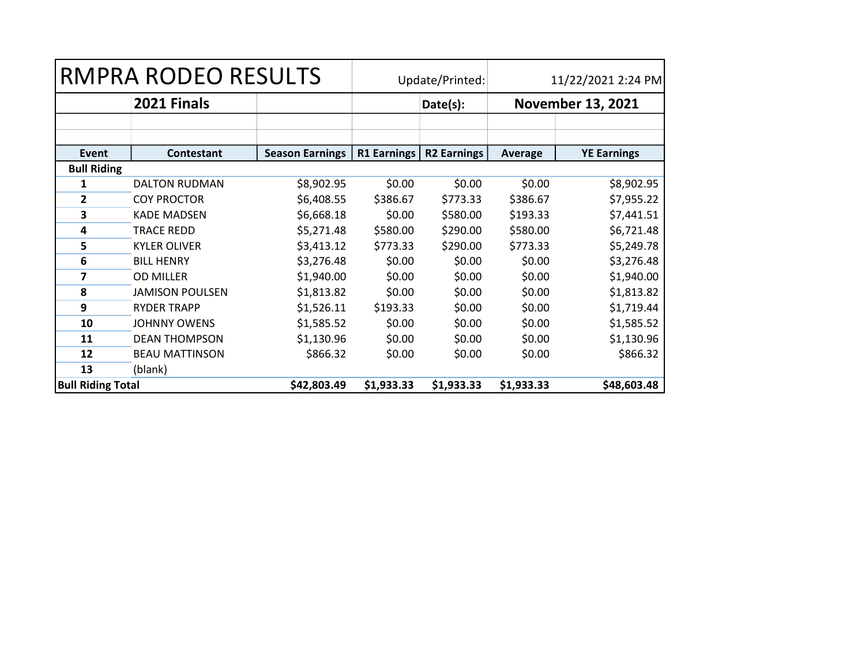| <b>RMPRA RODEO RESULTS</b> |                        | Update/Printed:        |                    | 11/22/2021 2:24 PM |            |                          |
|----------------------------|------------------------|------------------------|--------------------|--------------------|------------|--------------------------|
|                            | 2021 Finals            |                        |                    | Date(s):           |            | <b>November 13, 2021</b> |
|                            |                        |                        |                    |                    |            |                          |
| Event                      | Contestant             | <b>Season Earnings</b> | <b>R1 Earnings</b> | <b>R2 Earnings</b> | Average    | <b>YE Earnings</b>       |
| <b>Bull Riding</b>         |                        |                        |                    |                    |            |                          |
| 1                          | <b>DALTON RUDMAN</b>   | \$8,902.95             | \$0.00             | \$0.00             | \$0.00     | \$8,902.95               |
| $\mathbf{2}$               | <b>COY PROCTOR</b>     | \$6,408.55             | \$386.67           | \$773.33           | \$386.67   | \$7,955.22               |
| 3                          | <b>KADE MADSEN</b>     | \$6,668.18             | \$0.00             | \$580.00           | \$193.33   | \$7,441.51               |
| 4                          | <b>TRACE REDD</b>      | \$5,271.48             | \$580.00           | \$290.00           | \$580.00   | \$6,721.48               |
| 5                          | <b>KYLER OLIVER</b>    | \$3,413.12             | \$773.33           | \$290.00           | \$773.33   | \$5,249.78               |
| 6                          | <b>BILL HENRY</b>      | \$3,276.48             | \$0.00             | \$0.00             | \$0.00     | \$3,276.48               |
| 7                          | <b>OD MILLER</b>       | \$1,940.00             | \$0.00             | \$0.00             | \$0.00     | \$1,940.00               |
| 8                          | <b>JAMISON POULSEN</b> | \$1,813.82             | \$0.00             | \$0.00             | \$0.00     | \$1,813.82               |
| 9                          | <b>RYDER TRAPP</b>     | \$1,526.11             | \$193.33           | \$0.00             | \$0.00     | \$1,719.44               |
| 10                         | <b>JOHNNY OWENS</b>    | \$1,585.52             | \$0.00             | \$0.00             | \$0.00     | \$1,585.52               |
| 11                         | <b>DEAN THOMPSON</b>   | \$1,130.96             | \$0.00             | \$0.00             | \$0.00     | \$1,130.96               |
| 12                         | <b>BEAU MATTINSON</b>  | \$866.32               | \$0.00             | \$0.00             | \$0.00     | \$866.32                 |
| 13                         | (blank)                |                        |                    |                    |            |                          |
| <b>Bull Riding Total</b>   |                        | \$42,803.49            | \$1,933.33         | \$1,933.33         | \$1,933.33 | \$48,603.48              |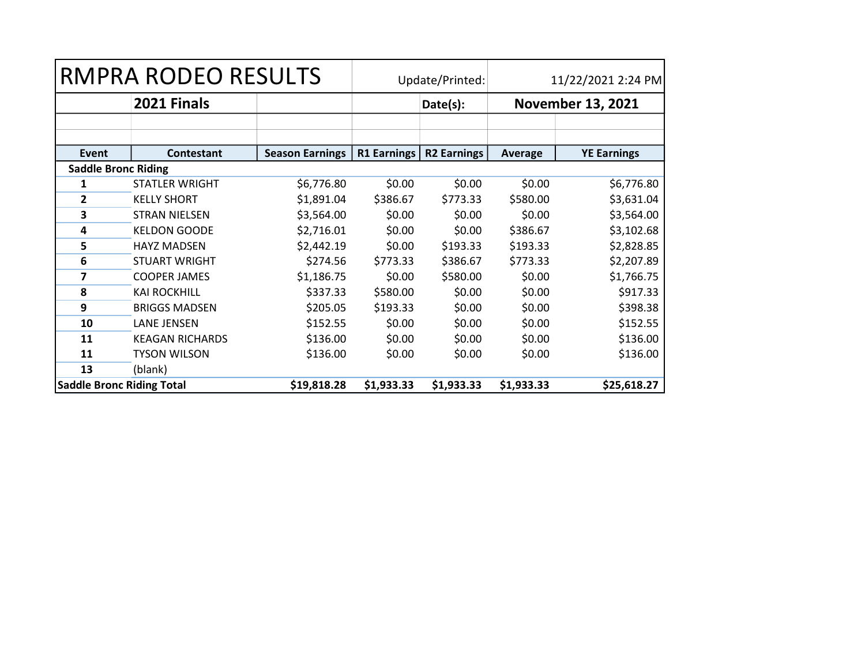| <b>RMPRA RODEO RESULTS</b>       |                        | Update/Printed:        |                    | 11/22/2021 2:24 PM |            |                          |  |
|----------------------------------|------------------------|------------------------|--------------------|--------------------|------------|--------------------------|--|
|                                  | 2021 Finals            |                        |                    | Date(s):           |            | <b>November 13, 2021</b> |  |
|                                  |                        |                        |                    |                    |            |                          |  |
| Event                            | Contestant             | <b>Season Earnings</b> | <b>R1 Earnings</b> | <b>R2 Earnings</b> | Average    | <b>YE Earnings</b>       |  |
| <b>Saddle Bronc Riding</b>       |                        |                        |                    |                    |            |                          |  |
| 1                                | <b>STATLER WRIGHT</b>  | \$6,776.80             | \$0.00             | \$0.00             | \$0.00     | \$6,776.80               |  |
| $\mathbf{2}$                     | <b>KELLY SHORT</b>     | \$1,891.04             | \$386.67           | \$773.33           | \$580.00   | \$3,631.04               |  |
| 3                                | <b>STRAN NIELSEN</b>   | \$3,564.00             | \$0.00             | \$0.00             | \$0.00     | \$3,564.00               |  |
| 4                                | <b>KELDON GOODE</b>    | \$2,716.01             | \$0.00             | \$0.00             | \$386.67   | \$3,102.68               |  |
| 5                                | <b>HAYZ MADSEN</b>     | \$2,442.19             | \$0.00             | \$193.33           | \$193.33   | \$2,828.85               |  |
| 6                                | <b>STUART WRIGHT</b>   | \$274.56               | \$773.33           | \$386.67           | \$773.33   | \$2,207.89               |  |
| 7                                | <b>COOPER JAMES</b>    | \$1,186.75             | \$0.00             | \$580.00           | \$0.00     | \$1,766.75               |  |
| 8                                | <b>KAI ROCKHILL</b>    | \$337.33               | \$580.00           | \$0.00             | \$0.00     | \$917.33                 |  |
| 9                                | <b>BRIGGS MADSEN</b>   | \$205.05               | \$193.33           | \$0.00             | \$0.00     | \$398.38                 |  |
| 10                               | <b>LANE JENSEN</b>     | \$152.55               | \$0.00             | \$0.00             | \$0.00     | \$152.55                 |  |
| 11                               | <b>KEAGAN RICHARDS</b> | \$136.00               | \$0.00             | \$0.00             | \$0.00     | \$136.00                 |  |
| 11                               | <b>TYSON WILSON</b>    | \$136.00               | \$0.00             | \$0.00             | \$0.00     | \$136.00                 |  |
| 13                               | (blank)                |                        |                    |                    |            |                          |  |
| <b>Saddle Bronc Riding Total</b> |                        | \$19,818.28            | \$1,933.33         | \$1,933.33         | \$1,933.33 | \$25,618.27              |  |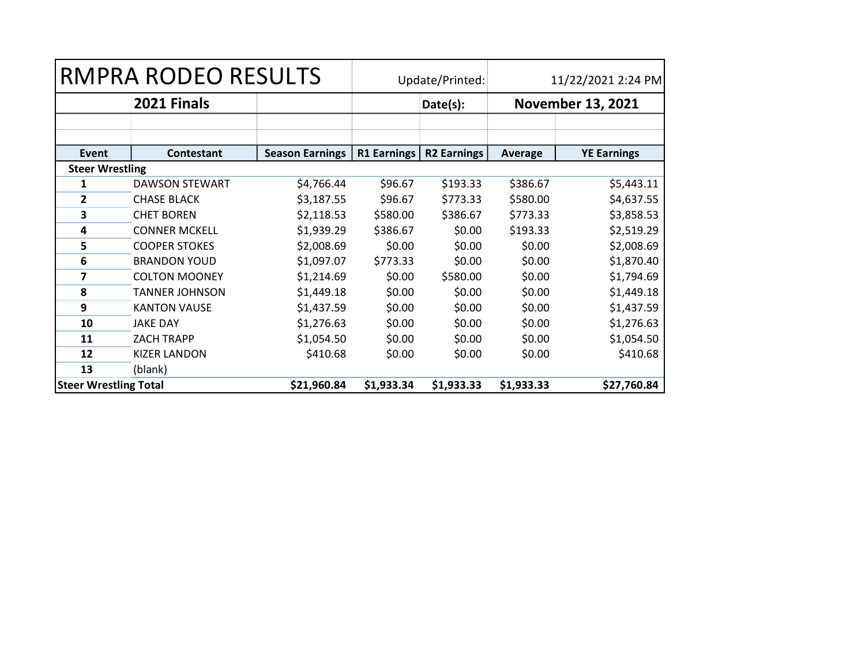| <b>RMPRA RODEO RESULTS</b>   |                       | Update/Printed:        |                    | 11/22/2021 2:24 PM |            |                          |  |
|------------------------------|-----------------------|------------------------|--------------------|--------------------|------------|--------------------------|--|
|                              | 2021 Finals           |                        |                    | Date(s):           |            | <b>November 13, 2021</b> |  |
|                              |                       |                        |                    |                    |            |                          |  |
| Event                        | Contestant            | <b>Season Earnings</b> | <b>R1 Earnings</b> | <b>R2 Earnings</b> | Average    | <b>YE Earnings</b>       |  |
| <b>Steer Wrestling</b>       |                       |                        |                    |                    |            |                          |  |
| 1                            | <b>DAWSON STEWART</b> | \$4,766.44             | \$96.67            | \$193.33           | \$386.67   | \$5,443.11               |  |
| $\mathbf{2}$                 | <b>CHASE BLACK</b>    | \$3,187.55             | \$96.67            | \$773.33           | \$580.00   | \$4,637.55               |  |
| 3                            | <b>CHET BOREN</b>     | \$2,118.53             | \$580.00           | \$386.67           | \$773.33   | \$3,858.53               |  |
| 4                            | <b>CONNER MCKELL</b>  | \$1,939.29             | \$386.67           | \$0.00             | \$193.33   | \$2,519.29               |  |
| 5                            | <b>COOPER STOKES</b>  | \$2,008.69             | \$0.00             | \$0.00             | \$0.00     | \$2,008.69               |  |
| 6                            | <b>BRANDON YOUD</b>   | \$1,097.07             | \$773.33           | \$0.00             | \$0.00     | \$1,870.40               |  |
| 7                            | <b>COLTON MOONEY</b>  | \$1,214.69             | \$0.00             | \$580.00           | \$0.00     | \$1,794.69               |  |
| 8                            | <b>TANNER JOHNSON</b> | \$1,449.18             | \$0.00             | \$0.00             | \$0.00     | \$1,449.18               |  |
| 9                            | <b>KANTON VAUSE</b>   | \$1,437.59             | \$0.00             | \$0.00             | \$0.00     | \$1,437.59               |  |
| 10                           | <b>JAKE DAY</b>       | \$1,276.63             | \$0.00             | \$0.00             | \$0.00     | \$1,276.63               |  |
| 11                           | <b>ZACH TRAPP</b>     | \$1,054.50             | \$0.00             | \$0.00             | \$0.00     | \$1,054.50               |  |
| 12                           | <b>KIZER LANDON</b>   | \$410.68               | \$0.00             | \$0.00             | \$0.00     | \$410.68                 |  |
| 13                           | (blank)               |                        |                    |                    |            |                          |  |
| <b>Steer Wrestling Total</b> |                       | \$21,960.84            | \$1,933.34         | \$1,933.33         | \$1,933.33 | \$27,760.84              |  |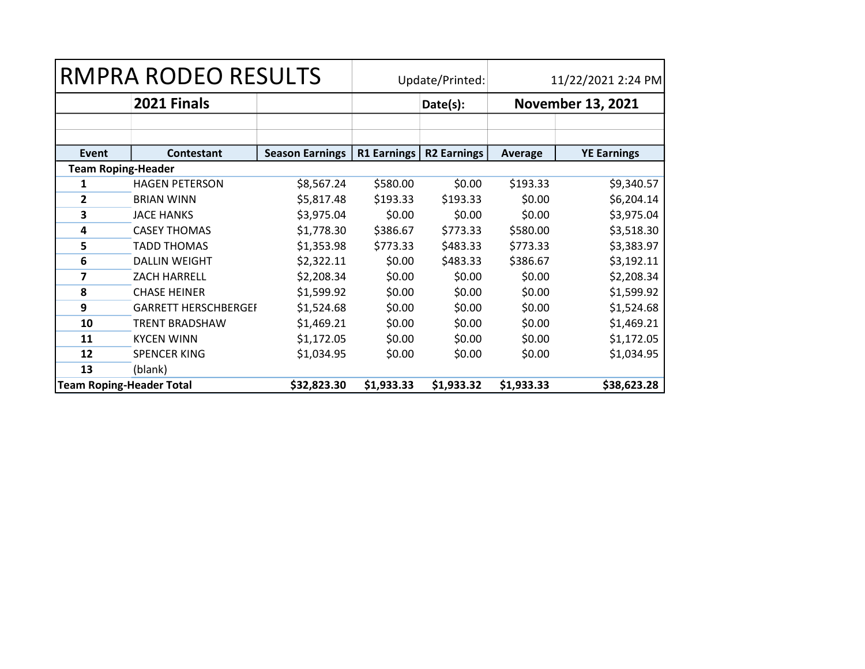| <b>RMPRA RODEO RESULTS</b>      |                             | Update/Printed:        |                    | 11/22/2021 2:24 PM |            |                          |
|---------------------------------|-----------------------------|------------------------|--------------------|--------------------|------------|--------------------------|
|                                 | 2021 Finals                 |                        |                    | Date(s):           |            | <b>November 13, 2021</b> |
|                                 |                             |                        |                    |                    |            |                          |
| Event                           | Contestant                  | <b>Season Earnings</b> | <b>R1 Earnings</b> | <b>R2 Earnings</b> | Average    | <b>YE Earnings</b>       |
| <b>Team Roping-Header</b>       |                             |                        |                    |                    |            |                          |
| 1                               | <b>HAGEN PETERSON</b>       | \$8,567.24             | \$580.00           | \$0.00             | \$193.33   | \$9,340.57               |
| $\mathbf{2}$                    | <b>BRIAN WINN</b>           | \$5,817.48             | \$193.33           | \$193.33           | \$0.00     | \$6,204.14               |
| 3                               | <b>JACE HANKS</b>           | \$3,975.04             | \$0.00             | \$0.00             | \$0.00     | \$3,975.04               |
| 4                               | <b>CASEY THOMAS</b>         | \$1,778.30             | \$386.67           | \$773.33           | \$580.00   | \$3,518.30               |
| 5                               | <b>TADD THOMAS</b>          | \$1,353.98             | \$773.33           | \$483.33           | \$773.33   | \$3,383.97               |
| 6                               | <b>DALLIN WEIGHT</b>        | \$2,322.11             | \$0.00             | \$483.33           | \$386.67   | \$3,192.11               |
| 7                               | ZACH HARRELL                | \$2,208.34             | \$0.00             | \$0.00             | \$0.00     | \$2,208.34               |
| 8                               | <b>CHASE HEINER</b>         | \$1,599.92             | \$0.00             | \$0.00             | \$0.00     | \$1,599.92               |
| 9                               | <b>GARRETT HERSCHBERGEF</b> | \$1,524.68             | \$0.00             | \$0.00             | \$0.00     | \$1,524.68               |
| 10                              | TRENT BRADSHAW              | \$1,469.21             | \$0.00             | \$0.00             | \$0.00     | \$1,469.21               |
| 11                              | <b>KYCEN WINN</b>           | \$1,172.05             | \$0.00             | \$0.00             | \$0.00     | \$1,172.05               |
| 12                              | <b>SPENCER KING</b>         | \$1,034.95             | \$0.00             | \$0.00             | \$0.00     | \$1,034.95               |
| 13                              | (blank)                     |                        |                    |                    |            |                          |
| <b>Team Roping-Header Total</b> |                             | \$32,823.30            | \$1,933.33         | \$1,933.32         | \$1,933.33 | \$38,623.28              |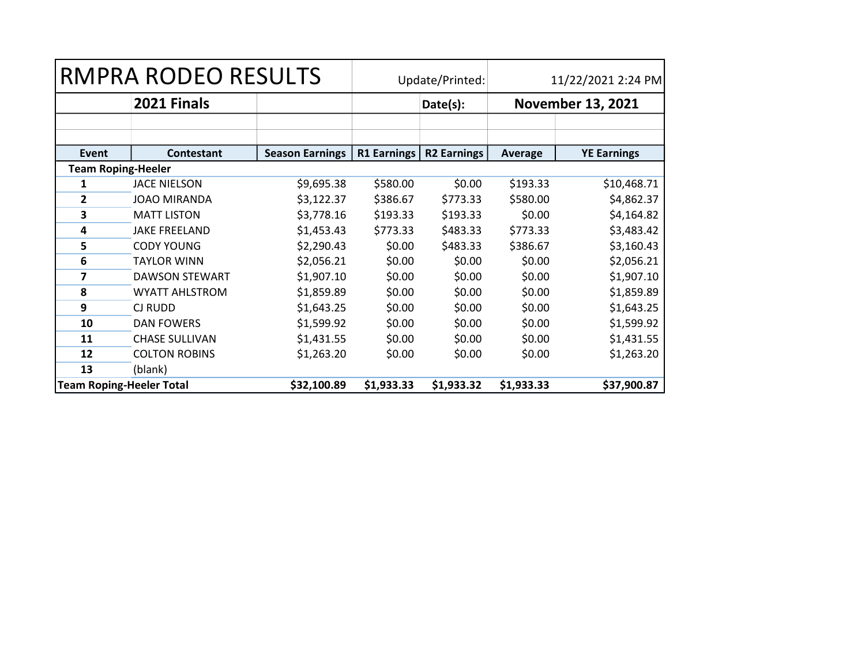| <b>RMPRA RODEO RESULTS</b>      |                           | Update/Printed:        |                    | 11/22/2021 2:24 PM |            |                          |  |  |
|---------------------------------|---------------------------|------------------------|--------------------|--------------------|------------|--------------------------|--|--|
|                                 | 2021 Finals               |                        |                    | Date(s):           |            | <b>November 13, 2021</b> |  |  |
|                                 |                           |                        |                    |                    |            |                          |  |  |
| Event                           | Contestant                | <b>Season Earnings</b> | <b>R1 Earnings</b> | <b>R2 Earnings</b> | Average    | <b>YE Earnings</b>       |  |  |
|                                 | <b>Team Roping-Heeler</b> |                        |                    |                    |            |                          |  |  |
| 1                               | <b>JACE NIELSON</b>       | \$9,695.38             | \$580.00           | \$0.00             | \$193.33   | \$10,468.71              |  |  |
| $\mathbf{2}$                    | <b>JOAO MIRANDA</b>       | \$3,122.37             | \$386.67           | \$773.33           | \$580.00   | \$4,862.37               |  |  |
| 3                               | <b>MATT LISTON</b>        | \$3,778.16             | \$193.33           | \$193.33           | \$0.00     | \$4,164.82               |  |  |
| 4                               | <b>JAKE FREELAND</b>      | \$1,453.43             | \$773.33           | \$483.33           | \$773.33   | \$3,483.42               |  |  |
| 5                               | <b>CODY YOUNG</b>         | \$2,290.43             | \$0.00             | \$483.33           | \$386.67   | \$3,160.43               |  |  |
| 6                               | <b>TAYLOR WINN</b>        | \$2,056.21             | \$0.00             | \$0.00             | \$0.00     | \$2,056.21               |  |  |
| 7                               | <b>DAWSON STEWART</b>     | \$1,907.10             | \$0.00             | \$0.00             | \$0.00     | \$1,907.10               |  |  |
| 8                               | <b>WYATT AHLSTROM</b>     | \$1,859.89             | \$0.00             | \$0.00             | \$0.00     | \$1,859.89               |  |  |
| 9                               | CJ RUDD                   | \$1,643.25             | \$0.00             | \$0.00             | \$0.00     | \$1,643.25               |  |  |
| 10                              | <b>DAN FOWERS</b>         | \$1,599.92             | \$0.00             | \$0.00             | \$0.00     | \$1,599.92               |  |  |
| 11                              | <b>CHASE SULLIVAN</b>     | \$1,431.55             | \$0.00             | \$0.00             | \$0.00     | \$1,431.55               |  |  |
| 12                              | <b>COLTON ROBINS</b>      | \$1,263.20             | \$0.00             | \$0.00             | \$0.00     | \$1,263.20               |  |  |
| 13                              | (blank)                   |                        |                    |                    |            |                          |  |  |
| <b>Team Roping-Heeler Total</b> |                           | \$32,100.89            | \$1,933.33         | \$1,933.32         | \$1,933.33 | \$37,900.87              |  |  |